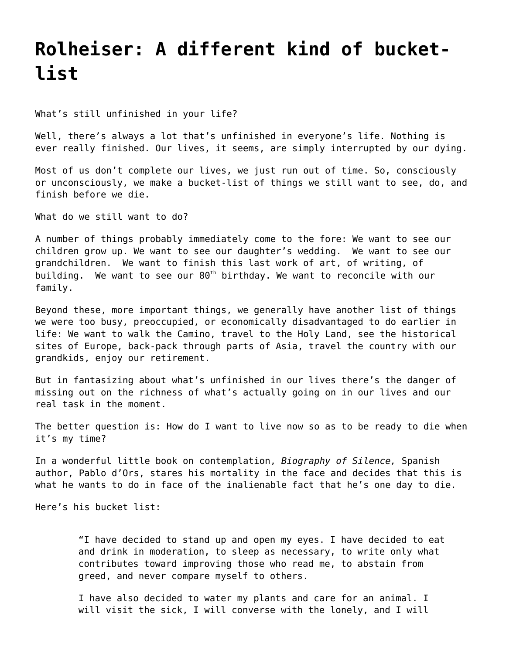## **[Rolheiser: A different kind of bucket](https://grandinmedia.ca/different-kind-bucket-list/)[list](https://grandinmedia.ca/different-kind-bucket-list/)**

What's still unfinished in your life?

Well, there's always a lot that's unfinished in everyone's life. Nothing is ever really finished. Our lives, it seems, are simply interrupted by our dying.

Most of us don't complete our lives, we just run out of time. So, consciously or unconsciously, we make a bucket-list of things we still want to see, do, and finish before we die.

What do we still want to do?

A number of things probably immediately come to the fore: We want to see our children grow up. We want to see our daughter's wedding. We want to see our grandchildren. We want to finish this last work of art, of writing, of building. We want to see our  $80<sup>th</sup>$  birthday. We want to reconcile with our family.

Beyond these, more important things, we generally have another list of things we were too busy, preoccupied, or economically disadvantaged to do earlier in life: We want to walk the Camino, travel to the Holy Land, see the historical sites of Europe, back-pack through parts of Asia, travel the country with our grandkids, enjoy our retirement.

But in fantasizing about what's unfinished in our lives there's the danger of missing out on the richness of what's actually going on in our lives and our real task in the moment.

The better question is: How do I want to live now so as to be ready to die when it's my time?

In a wonderful little book on contemplation, *Biography of Silence,* Spanish author, Pablo d'Ors, stares his mortality in the face and decides that this is what he wants to do in face of the inalienable fact that he's one day to die.

Here's his bucket list:

"I have decided to stand up and open my eyes. I have decided to eat and drink in moderation, to sleep as necessary, to write only what contributes toward improving those who read me, to abstain from greed, and never compare myself to others.

I have also decided to water my plants and care for an animal. I will visit the sick, I will converse with the lonely, and I will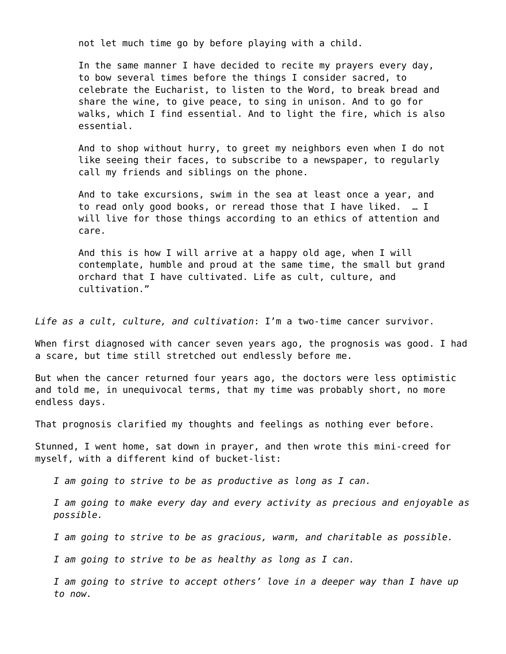not let much time go by before playing with a child.

In the same manner I have decided to recite my prayers every day, to bow several times before the things I consider sacred, to celebrate the Eucharist, to listen to the Word, to break bread and share the wine, to give peace, to sing in unison. And to go for walks, which I find essential. And to light the fire, which is also essential.

And to shop without hurry, to greet my neighbors even when I do not like seeing their faces, to subscribe to a newspaper, to regularly call my friends and siblings on the phone.

And to take excursions, swim in the sea at least once a year, and to read only good books, or reread those that I have liked. … I will live for those things according to an ethics of attention and care.

And this is how I will arrive at a happy old age, when I will contemplate, humble and proud at the same time, the small but grand orchard that I have cultivated. Life as cult, culture, and cultivation."

*Life as a cult, culture, and cultivation*: I'm a two-time cancer survivor.

When first diagnosed with cancer seven years ago, the prognosis was good. I had a scare, but time still stretched out endlessly before me.

But when the cancer returned four years ago, the doctors were less optimistic and told me, in unequivocal terms, that my time was probably short, no more endless days.

That prognosis clarified my thoughts and feelings as nothing ever before.

Stunned, I went home, sat down in prayer, and then wrote this mini-creed for myself, with a different kind of bucket-list:

*I am going to strive to be as productive as long as I can.*

*I am going to make every day and every activity as precious and enjoyable as possible.*

*I am going to strive to be as gracious, warm, and charitable as possible.*

*I am going to strive to be as healthy as long as I can.*

*I am going to strive to accept others' love in a deeper way than I have up to now.*